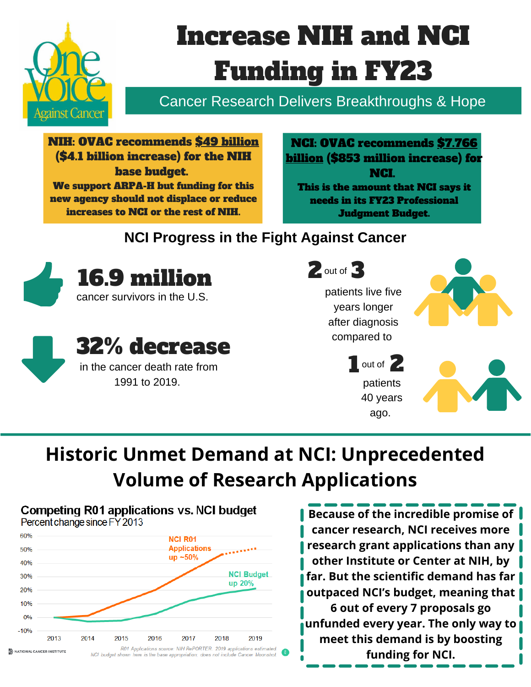

# Increase NIH and NCI Funding in FY23

Cancer Research Delivers Breakthroughs & Hope

NIH: OVAC recommends \$49 billion (\$4.1 billion increase) for the NIH base budget. We support ARPA-H but funding for this new agency should not displace or reduce increases to NCI or the rest of NIH.

NCI: OVAC recommends \$7.766 billion (\$853 million increase) for NCI. This is the amount that NCI says it needs in its FY23 Professional Judgment Budget.

### **NCI Progress in the Fight Against Cancer**





### 32% decrease in the cancer death rate from

1991 to 2019.



# **Historic Unmet Demand at NCI: Unprecedented Volume of Research Applications**



**Because of the incredible promise of cancer research, NCI receives more research grant applications than any other Institute or Center at NIH, by far. But the scientific demand has far outpaced NCI's budget, meaning that 6 out of every 7 proposals go unfunded every year. The only way to meet this demand is by boosting funding for NCI.**